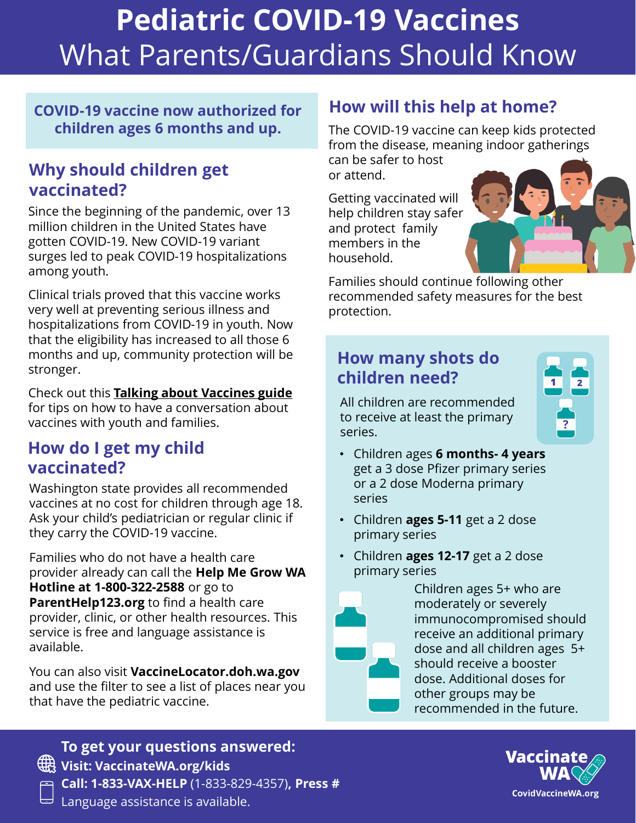# **Pediatric COVID-19 Vaccines** What Parents/Guardians Should Know

#### **COVID-19 vaccine now authorized for children ages 6 months and up.**

### **Why should children get vaccinated?**

Since the beginning of the pandemic, over 13 million children in the United States have gotten COVID-19. New COVID-19 variant surges led to peak COVID-19 hospitalizations among youth.

Clinical trials proved that this vaccine works very well at preventing serious illness and hospitalizations from COVID-19 in youth. Now that the eligibility has increased to all those 6 months and up, community protection will be stronger.

Check out this **[Talking about Vaccines guide](https://immunitycommunitywa.org/talking-about-vaccines/)**  for tips on how to have a conversation about vaccines with youth and families.

### **How do I get my child vaccinated?**

Washington state provides all recommended vaccines at no cost for children through age 18. Ask your child's pediatrician or regular clinic if they carry the COVID-19 vaccine.

Families who do not have a health care provider already can call the **Help Me Grow WA Hotline at 1-800-322-2588** or go to **ParentHelp123.org** to find a health care provider, clinic, or other health resources. This service is free and language assistance is available.

You can also visit **VaccineLocator.doh.wa.gov**  and use the filter to see a list of places near you that have the pediatric vaccine.

## **How will this help at home?**

The COVID-19 vaccine can keep kids protected from the disease, meaning indoor gatherings

can be safer to host or attend.

Getting vaccinated will help children stay safer and protect family members in the household.



Families should continue following other recommended safety measures for the best protection.

## **How many shots do children need?**

All children are recommended to receive at least the primary series.



- Children ages **6 months- 4 years**  get a 3 dose Pfizer primary series or a 2 dose Moderna primary series
- Children **ages 5-11** get a 2 dose primary series
- Children **ages 12-17** get a 2 dose primary series



Children ages 5+ who are moderately or severely immunocompromised should receive an additional primary dose and all children ages 5+ should receive a booster dose. Additional doses for other groups may be recommended in the future.



**To get your questions answered: Visit: VaccinateWA.org/kids Call: 1-833-VAX-HELP** (1-833-829-4357)**, Press #**  $\exists$  Language assistance is available.